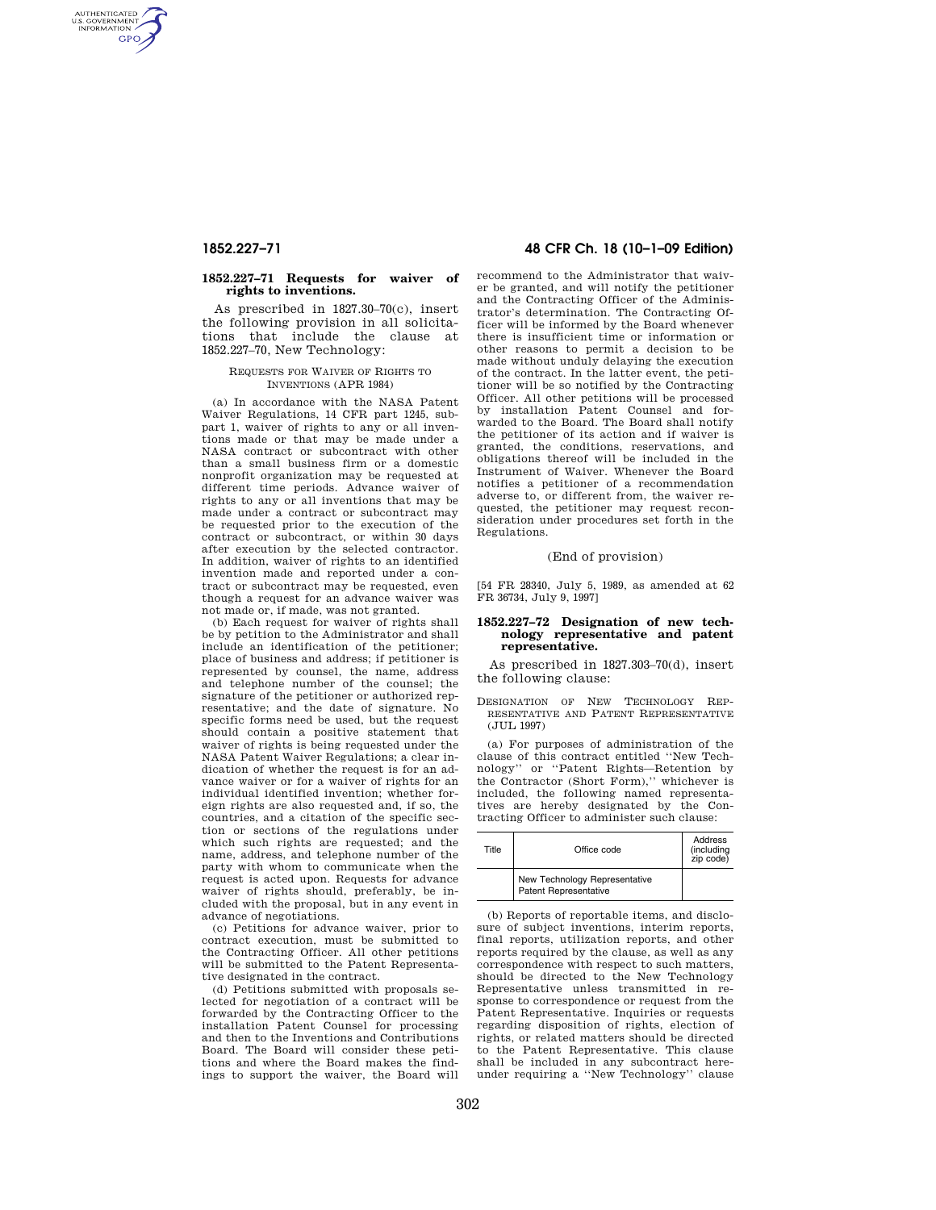AUTHENTICATED<br>U.S. GOVERNMENT<br>INFORMATION **GPO** 

#### **1852.227–71 Requests for waiver of rights to inventions.**

As prescribed in 1827.30–70(c), insert the following provision in all solicitations that include the clause at 1852.227–70, New Technology:

## REQUESTS FOR WAIVER OF RIGHTS TO INVENTIONS (APR 1984)

(a) In accordance with the NASA Patent Waiver Regulations, 14 CFR part 1245, subpart 1, waiver of rights to any or all inventions made or that may be made under a NASA contract or subcontract with other than a small business firm or a domestic nonprofit organization may be requested at different time periods. Advance waiver of rights to any or all inventions that may be made under a contract or subcontract may be requested prior to the execution of the contract or subcontract, or within 30 days after execution by the selected contractor. In addition, waiver of rights to an identified invention made and reported under a contract or subcontract may be requested, even though a request for an advance waiver was not made or, if made, was not granted.

(b) Each request for waiver of rights shall be by petition to the Administrator and shall include an identification of the petitioner; place of business and address; if petitioner is represented by counsel, the name, address and telephone number of the counsel; the signature of the petitioner or authorized representative; and the date of signature. No specific forms need be used, but the request should contain a positive statement that waiver of rights is being requested under the NASA Patent Waiver Regulations; a clear indication of whether the request is for an advance waiver or for a waiver of rights for an individual identified invention; whether foreign rights are also requested and, if so, the countries, and a citation of the specific section or sections of the regulations under which such rights are requested; and the name, address, and telephone number of the party with whom to communicate when the request is acted upon. Requests for advance waiver of rights should, preferably, be included with the proposal, but in any event in advance of negotiations.

(c) Petitions for advance waiver, prior to contract execution, must be submitted to the Contracting Officer. All other petitions will be submitted to the Patent Representative designated in the contract.

(d) Petitions submitted with proposals selected for negotiation of a contract will be forwarded by the Contracting Officer to the installation Patent Counsel for processing and then to the Inventions and Contributions Board. The Board will consider these petitions and where the Board makes the findings to support the waiver, the Board will

# **1852.227–71 48 CFR Ch. 18 (10–1–09 Edition)**

recommend to the Administrator that waiver be granted, and will notify the petitioner and the Contracting Officer of the Administrator's determination. The Contracting Officer will be informed by the Board whenever there is insufficient time or information or other reasons to permit a decision to be made without unduly delaying the execution of the contract. In the latter event, the petitioner will be so notified by the Contracting Officer. All other petitions will be processed by installation Patent Counsel and forwarded to the Board. The Board shall notify the petitioner of its action and if waiver is granted, the conditions, reservations, and obligations thereof will be included in the Instrument of Waiver. Whenever the Board notifies a petitioner of a recommendation adverse to, or different from, the waiver requested, the petitioner may request reconsideration under procedures set forth in the Regulations.

## (End of provision)

[54 FR 28340, July 5, 1989, as amended at 62 FR 36734, July 9, 1997]

### **1852.227–72 Designation of new technology representative and patent representative.**

As prescribed in 1827.303–70(d), insert the following clause:

DESIGNATION OF NEW TECHNOLOGY REP-RESENTATIVE AND PATENT REPRESENTATIVE (JUL 1997)

(a) For purposes of administration of the clause of this contract entitled ''New Technology'' or ''Patent Rights—Retention by the Contractor (Short Form),'' whichever is included, the following named representatives are hereby designated by the Contracting Officer to administer such clause:

| Title | Office code                                            | Address<br>(including<br>zip code) |
|-------|--------------------------------------------------------|------------------------------------|
|       | New Technology Representative<br>Patent Representative |                                    |

(b) Reports of reportable items, and disclosure of subject inventions, interim reports, final reports, utilization reports, and other reports required by the clause, as well as any correspondence with respect to such matters, should be directed to the New Technology Representative unless transmitted in response to correspondence or request from the Patent Representative. Inquiries or requests regarding disposition of rights, election of rights, or related matters should be directed to the Patent Representative. This clause shall be included in any subcontract hereunder requiring a ''New Technology'' clause